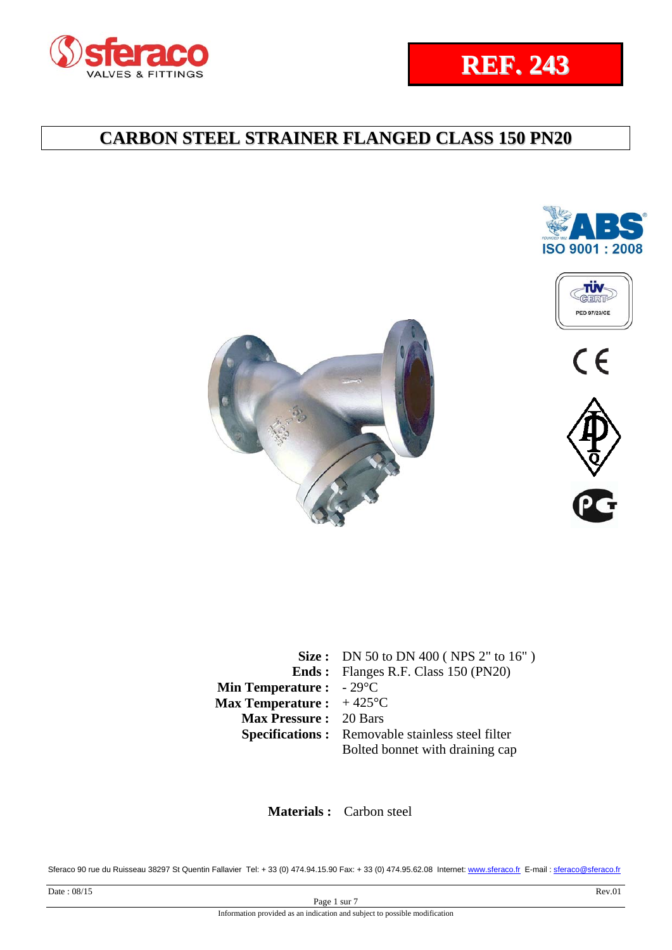



 $C \in$ 





|                                           | Size: DN 50 to DN 400 (NPS $2"$ to $16"$ )              |
|-------------------------------------------|---------------------------------------------------------|
|                                           | <b>Ends:</b> Flanges R.F. Class 150 (PN20)              |
| <b>Min Temperature :</b> $-29^{\circ}$ C  |                                                         |
| <b>Max Temperature :</b> $+425^{\circ}$ C |                                                         |
| <b>Max Pressure: 20 Bars</b>              |                                                         |
|                                           | <b>Specifications:</b> Removable stainless steel filter |
|                                           | Bolted bonnet with draining cap                         |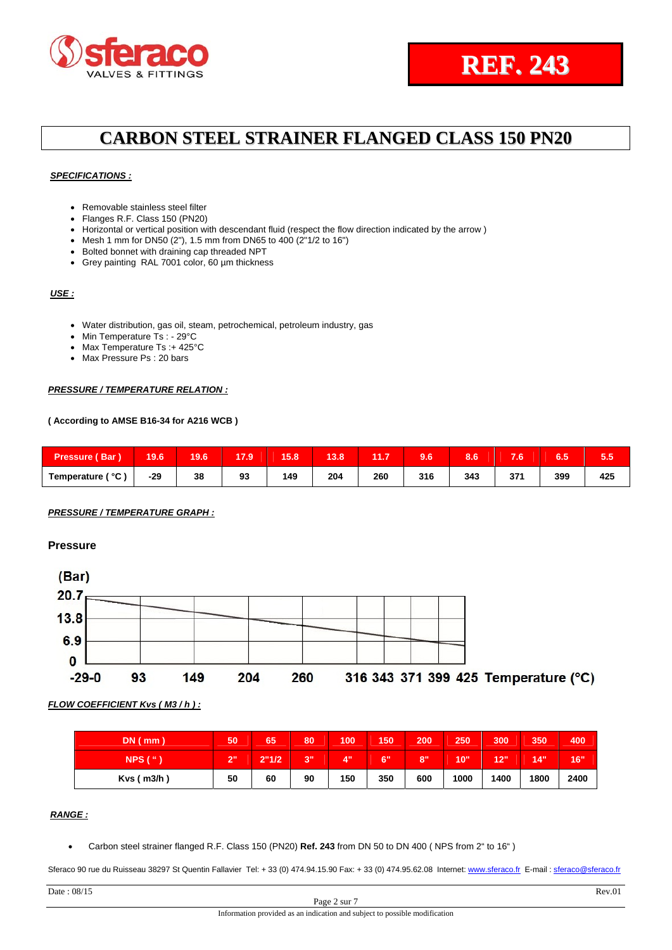### *SPECIFICATIONS :*

- Removable stainless steel filter
- Flanges R.F. Class 150 (PN20)
- Horizontal or vertical position with descendant fluid (respect the flow direction indicated by the arrow)
- Mesh 1 mm for DN50 (2"), 1.5 mm from DN65 to 400 (2"1/2 to 16")
- Bolted bonnet with draining cap threaded NPT
- Grey painting RAL 7001 color, 60 µm thickness

### *USE :*

- Water distribution, gas oil, steam, petrochemical, petroleum industry, gas
- Min Temperature Ts: 29°C
- Max Temperature Ts :+ 425°C
- Max Pressure Ps : 20 bars

#### *PRESSURE / TEMPERATURE RELATION :*

#### **( According to AMSE B16-34 for A216 WCB )**

| <b>Pressure (Bar)</b> | 19.6 | 19.6 | 17.9 | $\epsilon$<br>15.O | a an<br>1 J.O | 11.7      | $\sim$ $\sim$<br>ww | $\alpha$ $\alpha$<br>o.o | - -<br>40 | $\sim$ $\sim$<br>6.O | ວ.ວ        |
|-----------------------|------|------|------|--------------------|---------------|-----------|---------------------|--------------------------|-----------|----------------------|------------|
| Temperature ( °C )    | -29  | 38   | 93   | 149<br>__          | 204<br>____   | 260<br>__ | 316                 | 343                      | 274<br>__ | 399                  | 425<br>___ |

### *PRESSURE / TEMPERATURE GRAPH :*

### **Pressure**



#### *FLOW COEFFICIENT Kvs ( M3 / h ) :*

| $DN$ ( $mm$ )       | 50 | 65    | 80 | 100 | 150 | 200 | 250  | 300  | 350  | 400  |
|---------------------|----|-------|----|-----|-----|-----|------|------|------|------|
| $NPS$ ( $\degree$ ) | 2" | 2"1/2 | 3" | Δ"  | 6"  | 8"  | 10"  | 12"  | 14"  | 16"  |
| $Kvs$ ( $m3/h$ )    | 50 | 60    | 90 | 150 | 350 | 600 | 1000 | 1400 | 1800 | 2400 |

### *RANGE :*

Carbon steel strainer flanged R.F. Class 150 (PN20) **Ref. 243** from DN 50 to DN 400 ( NPS from 2" to 16" )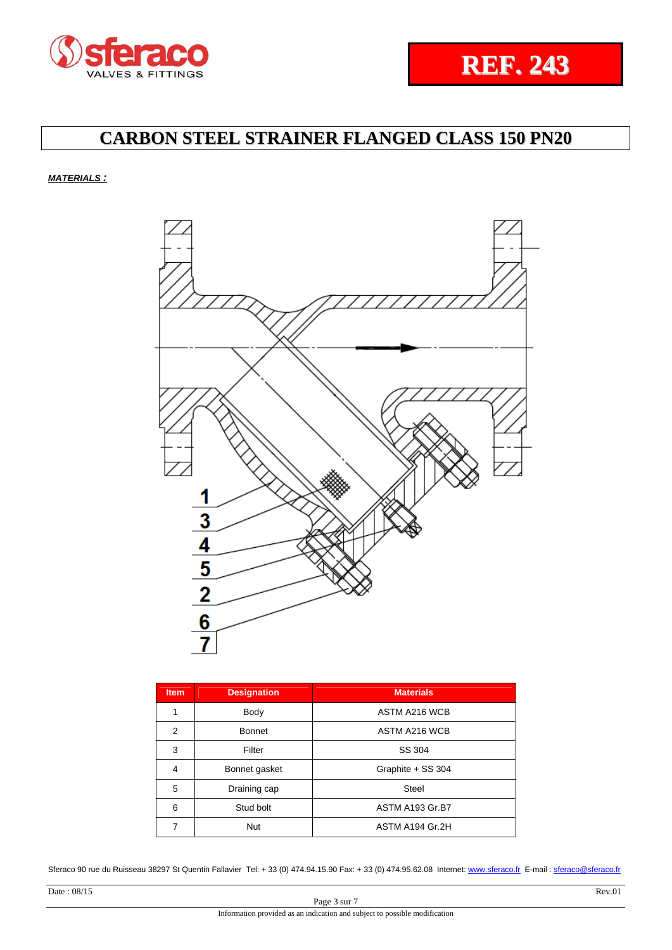### *MATERIALS :*



| <b>Item</b> | <b>Designation</b> | <b>Materials</b>  |
|-------------|--------------------|-------------------|
| 1           | Body               | ASTM A216 WCB     |
| 2           | <b>Bonnet</b>      | ASTM A216 WCB     |
| 3           | Filter             | SS 304            |
| 4           | Bonnet gasket      | Graphite + SS 304 |
| 5           | Draining cap       | <b>Steel</b>      |
| 6           | Stud bolt          | ASTM A193 Gr.B7   |
| 7           | <b>Nut</b>         | ASTM A194 Gr.2H   |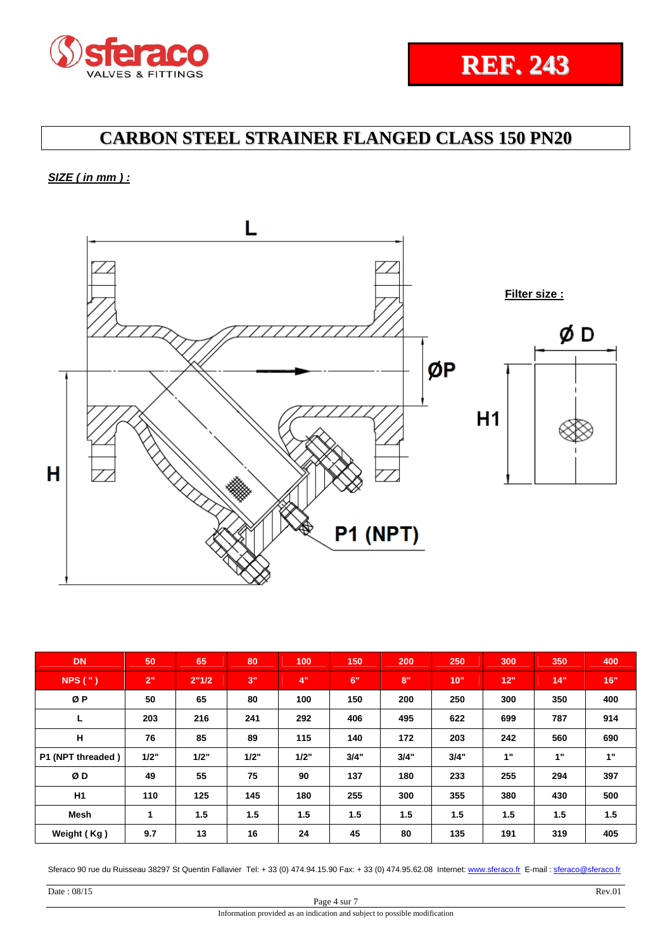## *SIZE ( in mm ) :*



| <b>DN</b>         | 50   | 65    | 80        | 100  | 150  | 200  | 250  | 300 | 350 | 400 |
|-------------------|------|-------|-----------|------|------|------|------|-----|-----|-----|
| NPS(" )           | 2"   | 2"1/2 | <b>3"</b> | 4"   | 6"   | 8"   | 10"  | 12" | 14" | 16" |
| ØP                | 50   | 65    | 80        | 100  | 150  | 200  | 250  | 300 | 350 | 400 |
| L                 | 203  | 216   | 241       | 292  | 406  | 495  | 622  | 699 | 787 | 914 |
| н                 | 76   | 85    | 89        | 115  | 140  | 172  | 203  | 242 | 560 | 690 |
| P1 (NPT threaded) | 1/2" | 1/2"  | 1/2"      | 1/2" | 3/4" | 3/4" | 3/4" | 1"  | 1"  | 1"  |
| ØD                | 49   | 55    | 75        | 90   | 137  | 180  | 233  | 255 | 294 | 397 |
| H1                | 110  | 125   | 145       | 180  | 255  | 300  | 355  | 380 | 430 | 500 |
| <b>Mesh</b>       | 1    | 1.5   | 1.5       | 1.5  | 1.5  | 1.5  | 1.5  | 1.5 | 1.5 | 1.5 |
| Weight (Kg)       | 9.7  | 13    | 16        | 24   | 45   | 80   | 135  | 191 | 319 | 405 |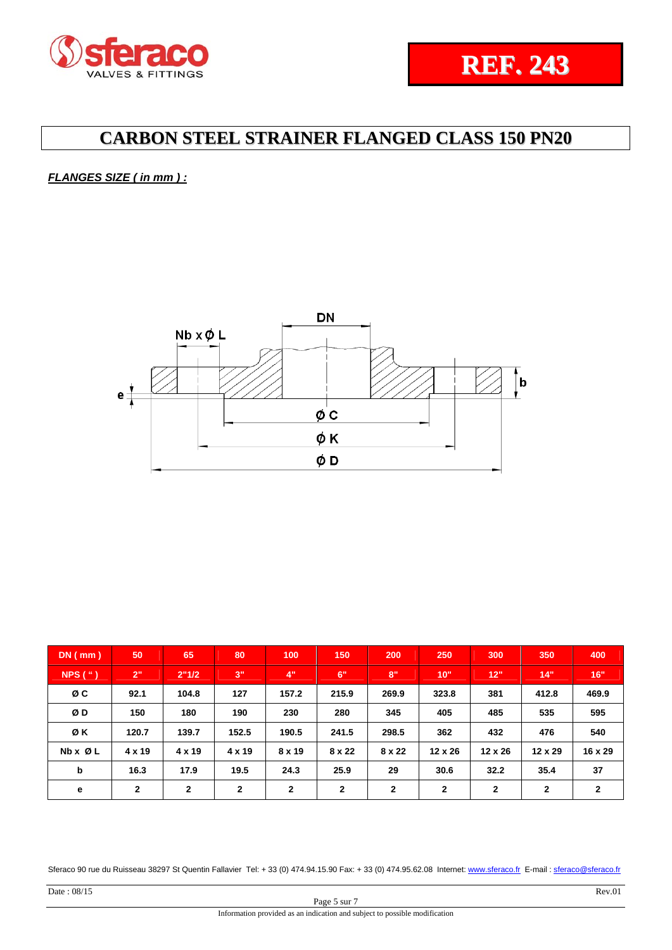### *FLANGES SIZE ( in mm ) :*



| $DN$ (mm)               | 50            | 65           | 80           | 100          | 150          | 200           | 250            | 300            | 350            | 400          |
|-------------------------|---------------|--------------|--------------|--------------|--------------|---------------|----------------|----------------|----------------|--------------|
| NPS('')                 | 2"            | 2"1/2        | 3"           | 4"           | 6"           | 8"            | 10"            | 12"            | 14"            | 16"          |
| øс                      | 92.1          | 104.8        | 127          | 157.2        | 215.9        | 269.9         | 323.8          | 381            | 412.8          | 469.9        |
| ØD                      | 150           | 180          | 190          | 230          | 280          | 345           | 405            | 485            | 535            | 595          |
| ØΚ                      | 120.7         | 139.7        | 152.5        | 190.5        | 241.5        | 298.5         | 362            | 432            | 476            | 540          |
| $Nb \times \emptyset L$ | $4 \times 19$ | 4 x 19       | 4 x 19       | 8 x 19       | 8 x 22       | $8 \times 22$ | $12 \times 26$ | $12 \times 26$ | $12 \times 29$ | 16 x 29      |
| b                       | 16.3          | 17.9         | 19.5         | 24.3         | 25.9         | 29            | 30.6           | 32.2           | 35.4           | 37           |
| е                       | $\mathbf{2}$  | $\mathbf{2}$ | $\mathbf{2}$ | $\mathbf{2}$ | $\mathbf{2}$ | $\mathbf{2}$  | $\mathbf{2}$   | $\mathbf{2}$   | $\mathbf{2}$   | $\mathbf{2}$ |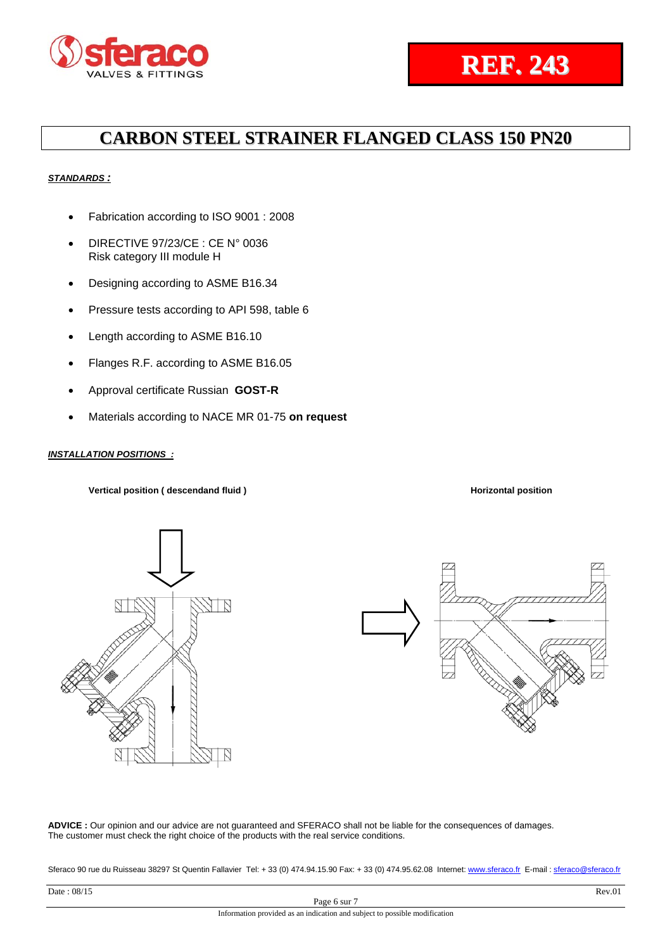### *STANDARDS :*

- Fabrication according to ISO 9001 : 2008
- DIRECTIVE 97/23/CE : CE N° 0036 Risk category III module H
- Designing according to ASME B16.34
- Pressure tests according to API 598, table 6
- Length according to ASME B16.10
- Flanges R.F. according to ASME B16.05
- Approval certificate Russian **GOST-R**
- Materials according to NACE MR 01-75 **on request**

### *INSTALLATION POSITIONS :*

Vertical position ( descendand fluid ) and a set of the set of the Horizontal position **Horizontal position**